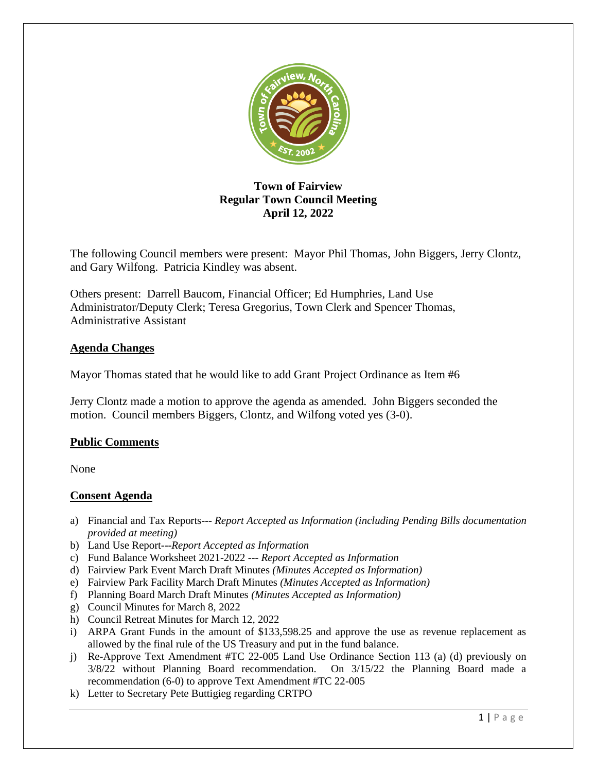

# **Town of Fairview Regular Town Council Meeting April 12, 2022**

The following Council members were present: Mayor Phil Thomas, John Biggers, Jerry Clontz, and Gary Wilfong. Patricia Kindley was absent.

Others present: Darrell Baucom, Financial Officer; Ed Humphries, Land Use Administrator/Deputy Clerk; Teresa Gregorius, Town Clerk and Spencer Thomas, Administrative Assistant

# **Agenda Changes**

Mayor Thomas stated that he would like to add Grant Project Ordinance as Item #6

Jerry Clontz made a motion to approve the agenda as amended. John Biggers seconded the motion. Council members Biggers, Clontz, and Wilfong voted yes (3-0).

# **Public Comments**

None

# **Consent Agenda**

- a) Financial and Tax Reports--- *Report Accepted as Information (including Pending Bills documentation provided at meeting)*
- b) Land Use Report---*Report Accepted as Information*
- c) Fund Balance Worksheet 2021-2022 --- *Report Accepted as Information*
- d) Fairview Park Event March Draft Minutes *(Minutes Accepted as Information)*
- e) Fairview Park Facility March Draft Minutes *(Minutes Accepted as Information)*
- f) Planning Board March Draft Minutes *(Minutes Accepted as Information)*
- g) Council Minutes for March 8, 2022
- h) Council Retreat Minutes for March 12, 2022
- i) ARPA Grant Funds in the amount of \$133,598.25 and approve the use as revenue replacement as allowed by the final rule of the US Treasury and put in the fund balance.
- j) Re-Approve Text Amendment #TC 22-005 Land Use Ordinance Section 113 (a) (d) previously on 3/8/22 without Planning Board recommendation. On 3/15/22 the Planning Board made a recommendation (6-0) to approve Text Amendment #TC 22-005
- k) Letter to Secretary Pete Buttigieg regarding CRTPO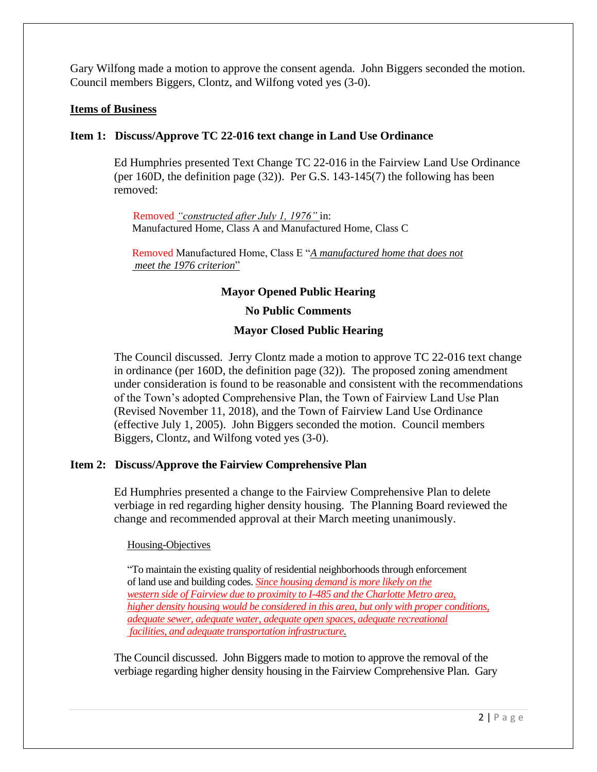Gary Wilfong made a motion to approve the consent agenda. John Biggers seconded the motion. Council members Biggers, Clontz, and Wilfong voted yes (3-0).

### **Items of Business**

### **Item 1: Discuss/Approve TC 22-016 text change in Land Use Ordinance**

Ed Humphries presented Text Change TC 22-016 in the Fairview Land Use Ordinance (per 160D, the definition page (32)). Per G.S. 143-145(7) the following has been removed:

 Removed *"constructed after July 1, 1976"* in: Manufactured Home, Class A and Manufactured Home, Class C

 Removed Manufactured Home, Class E "*A manufactured home that does not meet the 1976 criterion*"

## **Mayor Opened Public Hearing**

#### **No Public Comments**

#### **Mayor Closed Public Hearing**

The Council discussed. Jerry Clontz made a motion to approve TC 22-016 text change in ordinance (per 160D, the definition page (32)). The proposed zoning amendment under consideration is found to be reasonable and consistent with the recommendations of the Town's adopted Comprehensive Plan, the Town of Fairview Land Use Plan (Revised November 11, 2018), and the Town of Fairview Land Use Ordinance (effective July 1, 2005). John Biggers seconded the motion. Council members Biggers, Clontz, and Wilfong voted yes (3-0).

#### **Item 2: Discuss/Approve the Fairview Comprehensive Plan**

Ed Humphries presented a change to the Fairview Comprehensive Plan to delete verbiage in red regarding higher density housing. The Planning Board reviewed the change and recommended approval at their March meeting unanimously.

#### Housing-Objectives

"To maintain the existing quality of residential neighborhoods through enforcement of land use and building codes. *Since housing demand is more likely on the western side of Fairview due to proximity to I-485 and the Charlotte Metro area, higher density housing would be considered in this area, but only with proper conditions, adequate sewer, adequate water, adequate open spaces, adequate recreational facilities, and adequate transportation infrastructure.*

The Council discussed. John Biggers made to motion to approve the removal of the verbiage regarding higher density housing in the Fairview Comprehensive Plan. Gary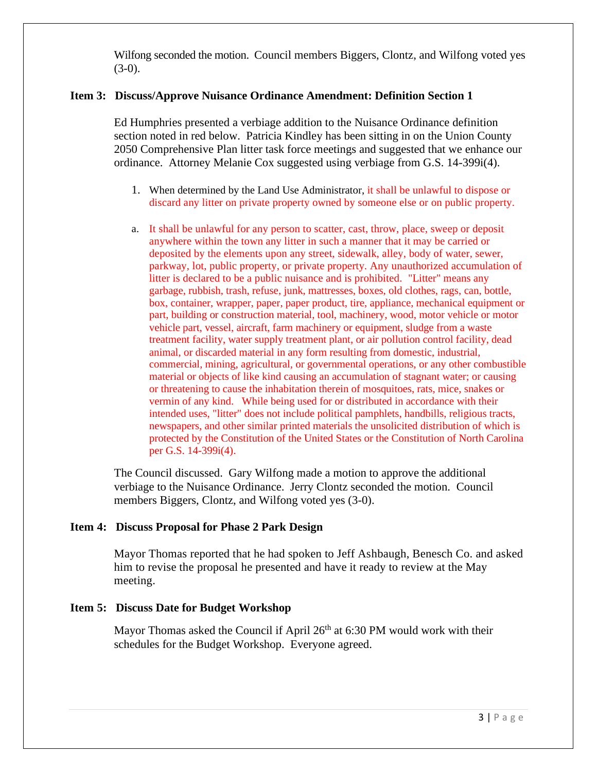Wilfong seconded the motion. Council members Biggers, Clontz, and Wilfong voted yes  $(3-0)$ .

### **Item 3: Discuss/Approve Nuisance Ordinance Amendment: Definition Section 1**

Ed Humphries presented a verbiage addition to the Nuisance Ordinance definition section noted in red below. Patricia Kindley has been sitting in on the Union County 2050 Comprehensive Plan litter task force meetings and suggested that we enhance our ordinance. Attorney Melanie Cox suggested using verbiage from G.S. 14-399i(4).

- 1. When determined by the Land Use Administrator, it shall be unlawful to dispose or discard any litter on private property owned by someone else or on public property.
- a. It shall be unlawful for any person to scatter, cast, throw, place, sweep or deposit anywhere within the town any litter in such a manner that it may be carried or deposited by the elements upon any street, sidewalk, alley, body of water, sewer, parkway, lot, public property, or private property. Any unauthorized accumulation of litter is declared to be a public nuisance and is prohibited. "Litter" means any garbage, rubbish, trash, refuse, junk, mattresses, boxes, old clothes, rags, can, bottle, box, container, wrapper, paper, paper product, tire, appliance, mechanical equipment or part, building or construction material, tool, machinery, wood, motor vehicle or motor vehicle part, vessel, aircraft, farm machinery or equipment, sludge from a waste treatment facility, water supply treatment plant, or air pollution control facility, dead animal, or discarded material in any form resulting from domestic, industrial, commercial, mining, agricultural, or governmental operations, or any other combustible material or objects of like kind causing an accumulation of stagnant water; or causing or threatening to cause the inhabitation therein of mosquitoes, rats, mice, snakes or vermin of any kind. While being used for or distributed in accordance with their intended uses, "litter" does not include political pamphlets, handbills, religious tracts, newspapers, and other similar printed materials the unsolicited distribution of which is protected by the Constitution of the United States or the Constitution of North Carolina per G.S. 14-399i(4).

The Council discussed. Gary Wilfong made a motion to approve the additional verbiage to the Nuisance Ordinance. Jerry Clontz seconded the motion. Council members Biggers, Clontz, and Wilfong voted yes (3-0).

### **Item 4: Discuss Proposal for Phase 2 Park Design**

Mayor Thomas reported that he had spoken to Jeff Ashbaugh, Benesch Co. and asked him to revise the proposal he presented and have it ready to review at the May meeting.

#### **Item 5: Discuss Date for Budget Workshop**

Mayor Thomas asked the Council if April  $26<sup>th</sup>$  at 6:30 PM would work with their schedules for the Budget Workshop. Everyone agreed.